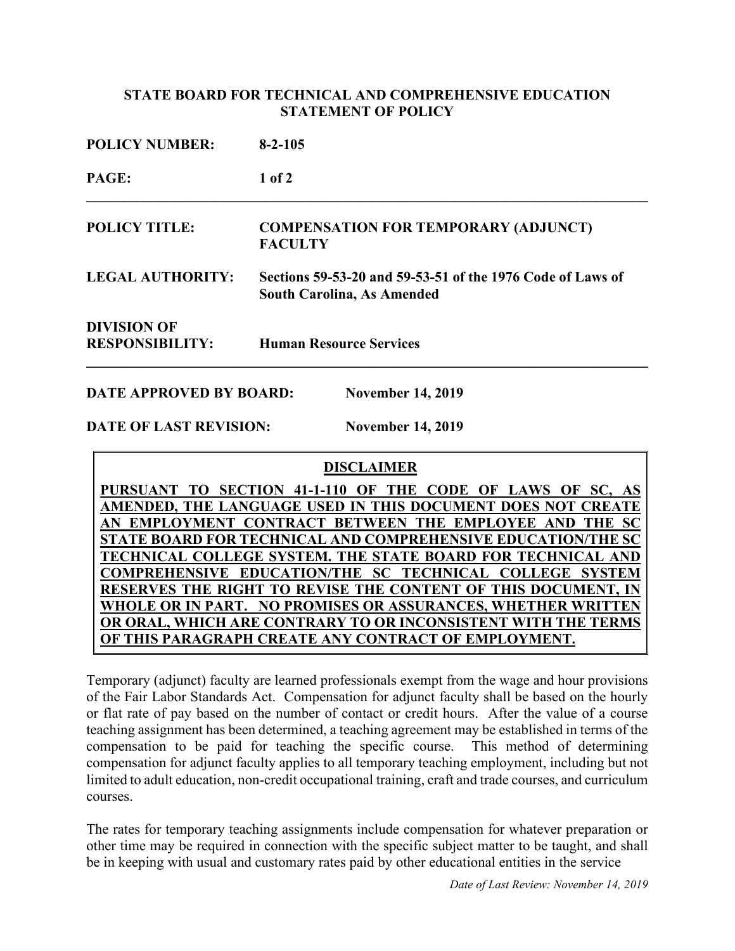## **STATE BOARD FOR TECHNICAL AND COMPREHENSIVE EDUCATION STATEMENT OF POLICY**

| <b>POLICY NUMBER:</b><br>PAGE:               | $8 - 2 - 105$<br>$1$ of $2$                                                                     |  |
|----------------------------------------------|-------------------------------------------------------------------------------------------------|--|
|                                              |                                                                                                 |  |
| <b>LEGAL AUTHORITY:</b>                      | Sections 59-53-20 and 59-53-51 of the 1976 Code of Laws of<br><b>South Carolina, As Amended</b> |  |
| <b>DIVISION OF</b><br><b>RESPONSIBILITY:</b> | <b>Human Resource Services</b>                                                                  |  |
|                                              |                                                                                                 |  |

**DATE APPROVED BY BOARD: November 14, 2019**

**DATE OF LAST REVISION: November 14, 2019**

## **DISCLAIMER**

PURSUANT TO SECTION 41-1-110 OF THE CODE OF LAWS OF SC, **AMENDED, THE LANGUAGE USED IN THIS DOCUMENT DOES NOT CREATE**  AN EMPLOYMENT CONTRACT BETWEEN THE EMPLOYEE AND THE **STATE BOARD FOR TECHNICAL AND COMPREHENSIVE EDUCATION/THE TECHNICAL COLLEGE SYSTEM. THE STATE BOARD FOR TECHNICAL AND COMPREHENSIVE EDUCATION/THE SC TECHNICAL COLLEGE SYSTEM RESERVES THE RIGHT TO REVISE THE CONTENT OF THIS DOCUMENT, IN WHOLE OR IN PART. NO PROMISES OR ASSURANCES, WHETHER WRITTEN OR ORAL, WHICH ARE CONTRARY TO OR INCONSISTENT WITH THE TERMS OF THIS PARAGRAPH CREATE ANY CONTRACT OF EMPLOYMENT.**

Temporary (adjunct) faculty are learned professionals exempt from the wage and hour provisions of the Fair Labor Standards Act. Compensation for adjunct faculty shall be based on the hourly or flat rate of pay based on the number of contact or credit hours. After the value of a course teaching assignment has been determined, a teaching agreement may be established in terms of the compensation to be paid for teaching the specific course. This method of determining compensation for adjunct faculty applies to all temporary teaching employment, including but not limited to adult education, non-credit occupational training, craft and trade courses, and curriculum courses.

The rates for temporary teaching assignments include compensation for whatever preparation or other time may be required in connection with the specific subject matter to be taught, and shall be in keeping with usual and customary rates paid by other educational entities in the service